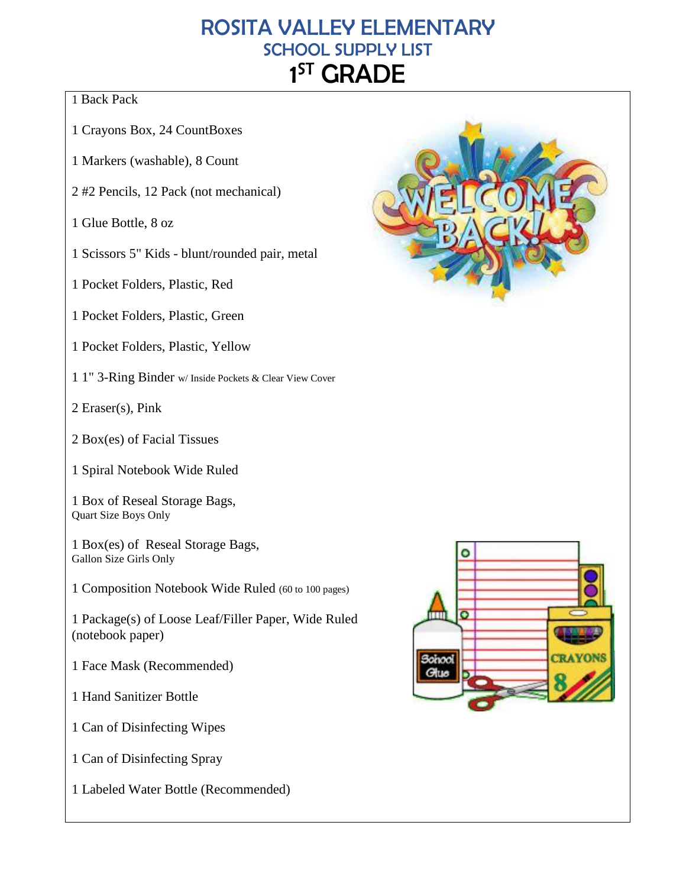# ROSITA VALLEY ELEMENTARY SCHOOL SUPPLY LIST 1<sup>ST</sup> GRADE

### 1 Back Pack

- 1 Crayons Box, 24 CountBoxes
- 1 Markers (washable), 8 Count
- 2 #2 Pencils, 12 Pack (not mechanical)

1 Glue Bottle, 8 oz

1 Scissors 5" Kids - blunt/rounded pair, metal

1 Pocket Folders, Plastic, Red

1 Pocket Folders, Plastic, Green

- 1 Pocket Folders, Plastic, Yellow
- 1 1" 3-Ring Binder w/ Inside Pockets & Clear View Cover

2 Eraser(s), Pink

- 2 Box(es) of Facial Tissues
- 1 Spiral Notebook Wide Ruled

1 Box of Reseal Storage Bags, Quart Size Boys Only

1 Box(es) of Reseal Storage Bags, Gallon Size Girls Only

1 Composition Notebook Wide Ruled (60 to 100 pages)

1 Package(s) of Loose Leaf/Filler Paper, Wide Ruled (notebook paper)

1 Face Mask (Recommended)

1 Hand Sanitizer Bottle

1 Can of Disinfecting Wipes

1 Can of Disinfecting Spray

1 Labeled Water Bottle (Recommended)



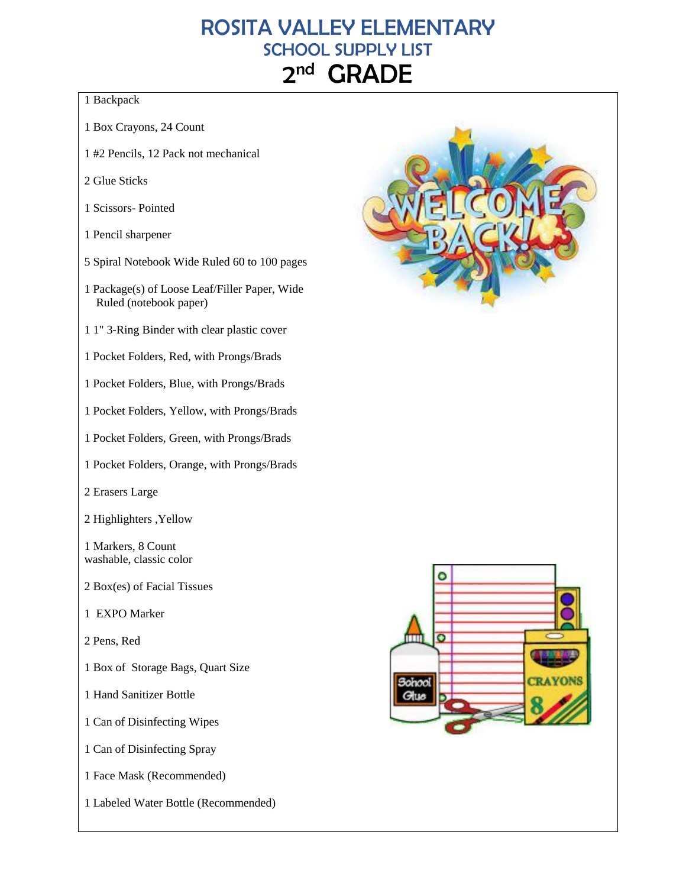### ROSITA VALLEY ELEMENTARY SCHOOL SUPPLY LIST  $2<sub>nd</sub>$ **GRADE**

### 1 Backpack

- 1 Box Crayons, 24 Count
- 1 #2 Pencils, 12 Pack not mechanical
- 2 Glue Sticks
- 1 Scissors- Pointed
- 1 Pencil sharpener
- 5 Spiral Notebook Wide Ruled 60 to 100 pages
- 1 Package(s) of Loose Leaf/Filler Paper, Wide Ruled (notebook paper)
- 1 1" 3-Ring Binder with clear plastic cover
- 1 Pocket Folders, Red, with Prongs/Brads
- 1 Pocket Folders, Blue, with Prongs/Brads
- 1 Pocket Folders, Yellow, with Prongs/Brads
- 1 Pocket Folders, Green, with Prongs/Brads
- 1 Pocket Folders, Orange, with Prongs/Brads
- 2 Erasers Large
- 2 Highlighters ,Yellow

1 Markers, 8 Count washable, classic color

- 2 Box(es) of Facial Tissues
- 1 EXPO Marker
- 2 Pens, Red
- 1 Box of Storage Bags, Quart Size
- 1 Hand Sanitizer Bottle
- 1 Can of Disinfecting Wipes
- 1 Can of Disinfecting Spray
- 1 Face Mask (Recommended)
- 1 Labeled Water Bottle (Recommended)



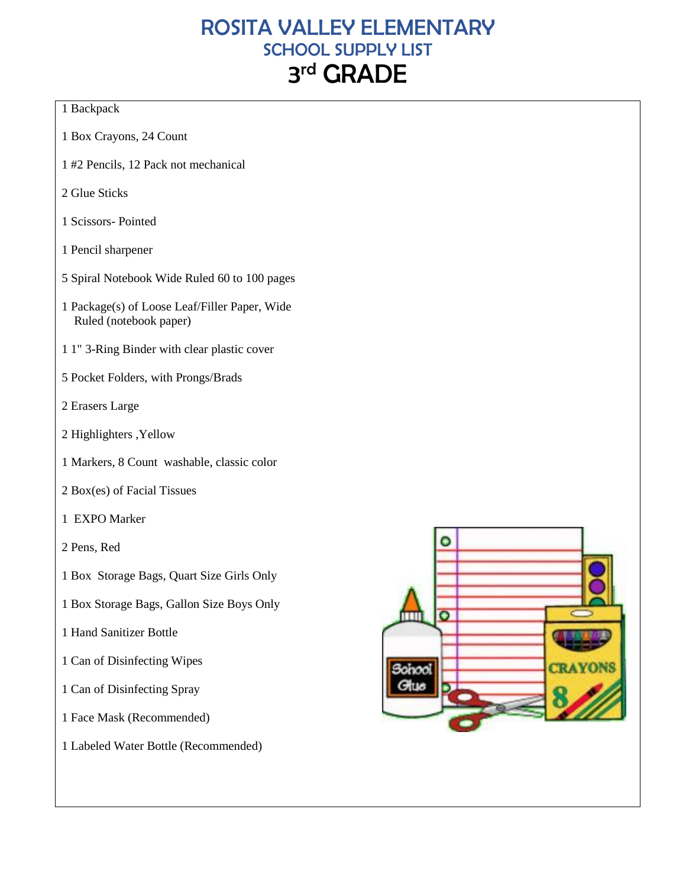# ROSITA VALLEY ELEMENTARY SCHOOL SUPPLY LIST 3<sup>rd</sup> GRADE

#### 1 Backpack

- 1 Box Crayons, 24 Count
- 1 #2 Pencils, 12 Pack not mechanical
- 2 Glue Sticks
- 1 Scissors- Pointed
- 1 Pencil sharpener
- 5 Spiral Notebook Wide Ruled 60 to 100 pages
- 1 Package(s) of Loose Leaf/Filler Paper, Wide Ruled (notebook paper)
- 1 1" 3-Ring Binder with clear plastic cover
- 5 Pocket Folders, with Prongs/Brads
- 2 Erasers Large
- 2 Highlighters ,Yellow
- 1 Markers, 8 Count washable, classic color
- 2 Box(es) of Facial Tissues
- 1 EXPO Marker
- 2 Pens, Red
- 1 Box Storage Bags, Quart Size Girls Only
- 1 Box Storage Bags, Gallon Size Boys Only
- 1 Hand Sanitizer Bottle
- 1 Can of Disinfecting Wipes
- 1 Can of Disinfecting Spray
- 1 Face Mask (Recommended)
- 1 Labeled Water Bottle (Recommended)

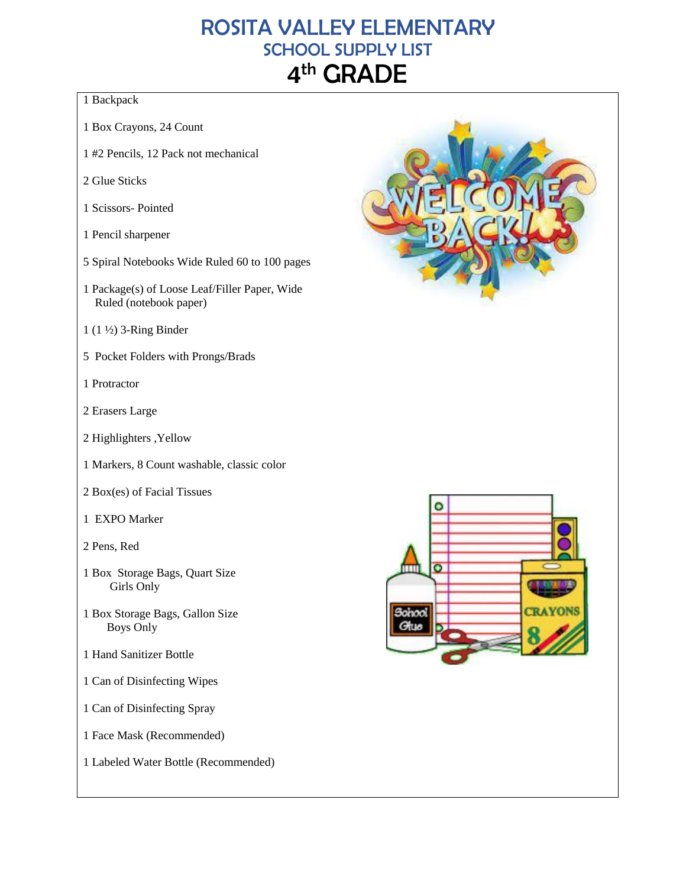# ROSITA VALLEY ELEMENTARY SCHOOL SUPPLY LIST 4<sup>th</sup> GRADE

### 1 Backpack

- 1 Box Crayons, 24 Count
- 1 #2 Pencils, 12 Pack not mechanical
- 2 Glue Sticks
- 1 Scissors- Pointed
- 1 Pencil sharpener
- 5 Spiral Notebooks Wide Ruled 60 to 100 pages
- 1 Package(s) of Loose Leaf/Filler Paper, Wide Ruled (notebook paper)
- 1 (1 ½) 3-Ring Binder
- 5 Pocket Folders with Prongs/Brads
- 1 Protractor
- 2 Erasers Large
- 2 Highlighters ,Yellow
- 1 Markers, 8 Count washable, classic color
- 2 Box(es) of Facial Tissues
- 1 EXPO Marker
- 2 Pens, Red
- 1 Box Storage Bags, Quart Size Girls Only
- 1 Box Storage Bags, Gallon Size Boys Only
- 1 Hand Sanitizer Bottle
- 1 Can of Disinfecting Wipes
- 1 Can of Disinfecting Spray
- 1 Face Mask (Recommended)
- 1 Labeled Water Bottle (Recommended)

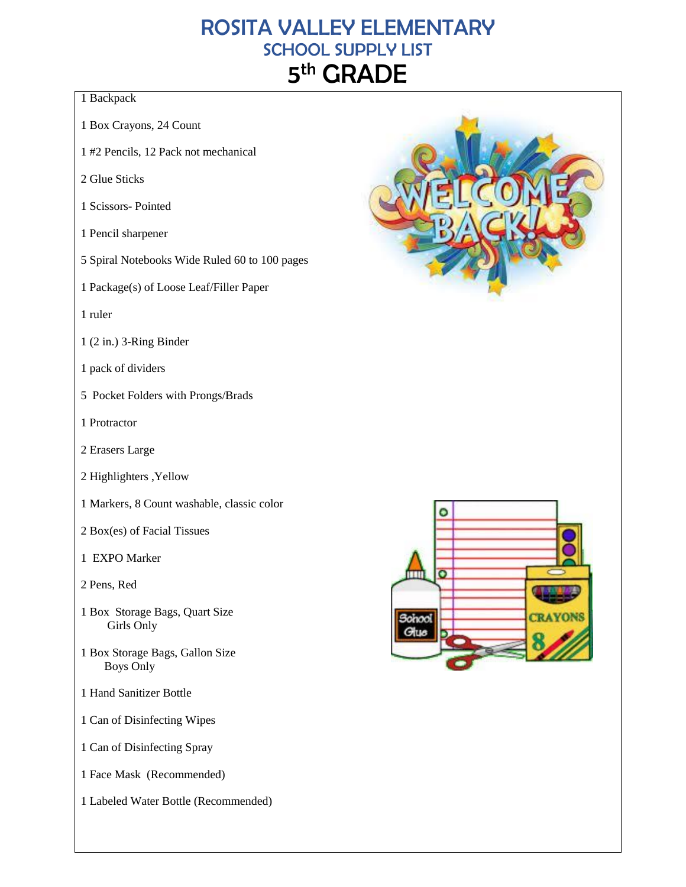# ROSITA VALLEY ELEMENTARY SCHOOL SUPPLY LIST 5<sup>th</sup> GRADE

#### 1 Backpack

- 1 Box Crayons, 24 Count
- 1 #2 Pencils, 12 Pack not mechanical
- 2 Glue Sticks
- 1 Scissors- Pointed
- 1 Pencil sharpener
- 5 Spiral Notebooks Wide Ruled 60 to 100 pages
- 1 Package(s) of Loose Leaf/Filler Paper
- 1 ruler
- 1 (2 in.) 3-Ring Binder
- 1 pack of dividers
- 5 Pocket Folders with Prongs/Brads
- 1 Protractor
- 2 Erasers Large
- 2 Highlighters ,Yellow
- 1 Markers, 8 Count washable, classic color
- 2 Box(es) of Facial Tissues
- 1 EXPO Marker
- 2 Pens, Red
- 1 Box Storage Bags, Quart Size Girls Only
- 1 Box Storage Bags, Gallon Size Boys Only
- 1 Hand Sanitizer Bottle
- 1 Can of Disinfecting Wipes
- 1 Can of Disinfecting Spray
- 1 Face Mask (Recommended)
- 1 Labeled Water Bottle (Recommended)